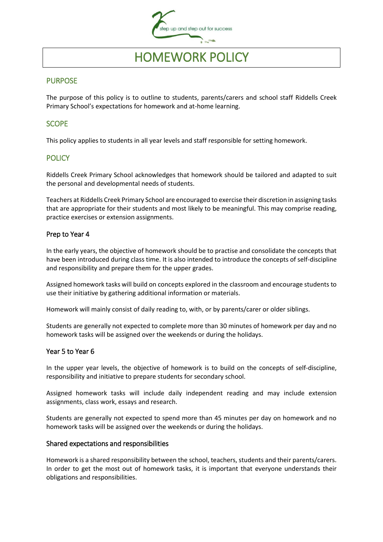

# HOMEWORK POLICY

## PURPOSE

The purpose of this policy is to outline to students, parents/carers and school staff Riddells Creek Primary School's expectations for homework and at-home learning.

## **SCOPE**

This policy applies to students in all year levels and staff responsible for setting homework.

## **POLICY**

Riddells Creek Primary School acknowledges that homework should be tailored and adapted to suit the personal and developmental needs of students.

Teachers at Riddells Creek Primary School are encouraged to exercise their discretion in assigning tasks that are appropriate for their students and most likely to be meaningful. This may comprise reading, practice exercises or extension assignments.

#### Prep to Year 4

In the early years, the objective of homework should be to practise and consolidate the concepts that have been introduced during class time. It is also intended to introduce the concepts of self-discipline and responsibility and prepare them for the upper grades.

Assigned homework tasks will build on concepts explored in the classroom and encourage students to use their initiative by gathering additional information or materials.

Homework will mainly consist of daily reading to, with, or by parents/carer or older siblings.

Students are generally not expected to complete more than 30 minutes of homework per day and no homework tasks will be assigned over the weekends or during the holidays.

#### Year 5 to Year 6

In the upper year levels, the objective of homework is to build on the concepts of self-discipline, responsibility and initiative to prepare students for secondary school.

Assigned homework tasks will include daily independent reading and may include extension assignments, class work, essays and research.

Students are generally not expected to spend more than 45 minutes per day on homework and no homework tasks will be assigned over the weekends or during the holidays.

#### Shared expectations and responsibilities

Homework is a shared responsibility between the school, teachers, students and their parents/carers. In order to get the most out of homework tasks, it is important that everyone understands their obligations and responsibilities.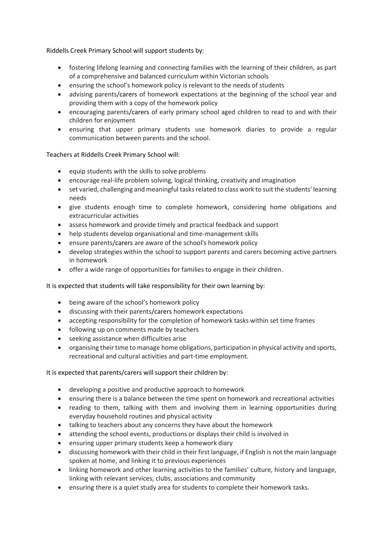Riddells Creek Primary School will support students by:

- fostering lifelong learning and connecting families with the learning of their children, as part of a comprehensive and balanced curriculum within Victorian schools
- ensuring the school's homework policy is relevant to the needs of students
- advising parents/carers of homework expectations at the beginning of the school year and providing them with a copy of the homework policy
- encouraging parents/carers of early primary school aged children to read to and with their children for enjoyment
- ensuring that upper primary students use homework diaries to provide a regular communication between parents and the school.

Teachers at Riddells Creek Primary School will:

- equip students with the skills to solve problems
- encourage real-life problem solving, logical thinking, creativity and imagination
- set varied, challenging and meaningful tasks related to class work to suit the students' learning needs
- give students enough time to complete homework, considering home obligations and extracurricular activities
- assess homework and provide timely and practical feedback and support
- help students develop organisational and time-management skills
- ensure parents/carers are aware of the school's homework policy
- develop strategies within the school to support parents and carers becoming active partners in homework
- offer a wide range of opportunities for families to engage in their children.

It is expected that students will take responsibility for their own learning by:

- being aware of the school's homework policy
- discussing with their parents/carers homework expectations
- accepting responsibility for the completion of homework tasks within set time frames
- following up on comments made by teachers
- seeking assistance when difficulties arise
- organising their time to manage home obligations, participation in physical activity and sports, recreational and cultural activities and part-time employment.

It is expected that parents/carers will support their children by:

- developing a positive and productive approach to homework
- ensuring there is a balance between the time spent on homework and recreational activities
- reading to them, talking with them and involving them in learning opportunities during everyday household routines and physical activity
- talking to teachers about any concerns they have about the homework
- attending the school events, productions or displays their child is involved in
- ensuring upper primary students keep a homework diary
- discussing homework with their child in their first language, if English is not the main language spoken at home, and linking it to previous experiences
- linking homework and other learning activities to the families' culture, history and language, linking with relevant services, clubs, associations and community
- ensuring there is a quiet study area for students to complete their homework tasks.